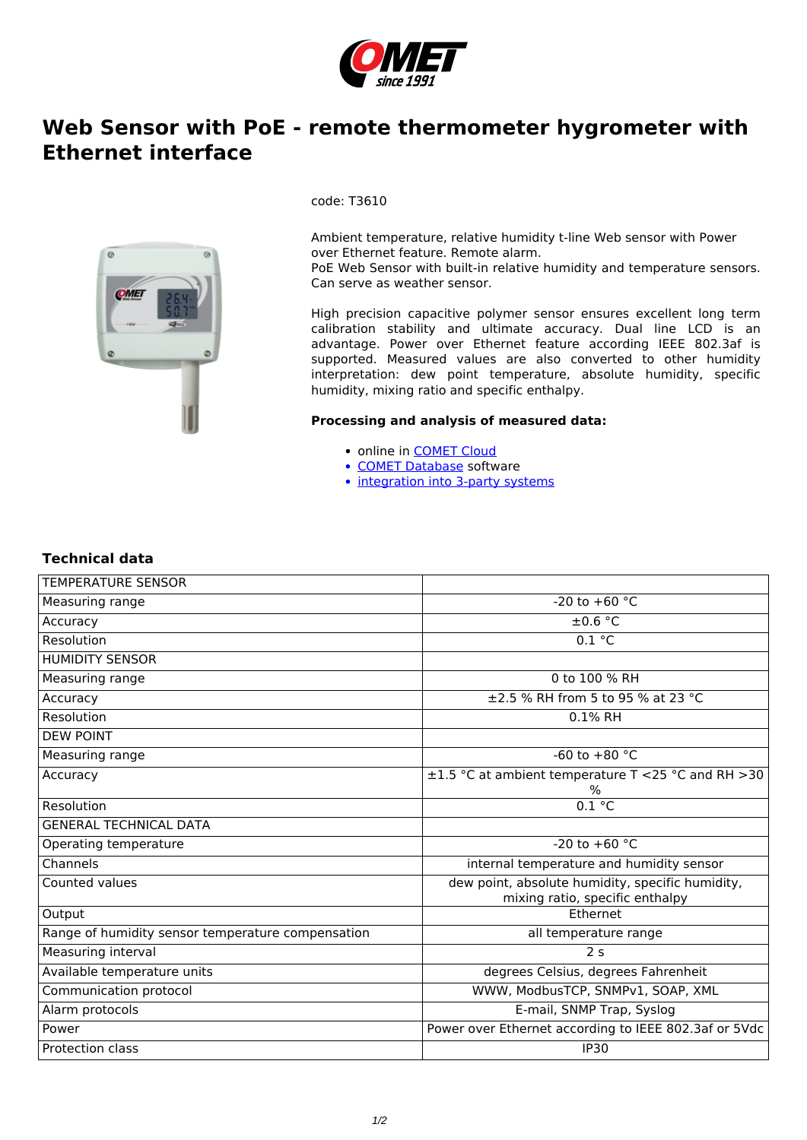

## **Web Sensor with PoE - remote thermometer hygrometer with Ethernet interface**



code: T3610

Ambient temperature, relative humidity t-line Web sensor with Power over Ethernet feature. Remote alarm. PoE Web Sensor with built-in relative humidity and temperature sensors. Can serve as weather sensor.

High precision capacitive polymer sensor ensures excellent long term calibration stability and ultimate accuracy. Dual line LCD is an advantage. Power over Ethernet feature according IEEE 802.3af is supported. Measured values are also converted to other humidity interpretation: dew point temperature, absolute humidity, specific humidity, mixing ratio and specific enthalpy.

## **Processing and analysis of measured data:**

- online in **COMET Cloud**
- [COMET Database](/reg-cdb) software
- [integration into 3-party systems](/userfiles/protocols_eng.jpg)

## **Technical data**

| <b>TEMPERATURE SENSOR</b>                         |                                                                                     |
|---------------------------------------------------|-------------------------------------------------------------------------------------|
| Measuring range                                   | $-20$ to $+60$ °C                                                                   |
| Accuracy                                          | $\pm 0.6$ °C                                                                        |
| Resolution                                        | 0.1 °C                                                                              |
| <b>HUMIDITY SENSOR</b>                            |                                                                                     |
| Measuring range                                   | 0 to 100 % RH                                                                       |
| Accuracy                                          | ±2.5 % RH from 5 to 95 % at 23 °C                                                   |
| Resolution                                        | 0.1% RH                                                                             |
| <b>DEW POINT</b>                                  |                                                                                     |
| Measuring range                                   | -60 to $+80$ °C                                                                     |
| Accuracy                                          | ±1.5 °C at ambient temperature T <25 °C and RH >30<br>℅                             |
| Resolution                                        | 0.1 °C                                                                              |
| <b>GENERAL TECHNICAL DATA</b>                     |                                                                                     |
| Operating temperature                             | -20 to +60 $^{\circ}$ C                                                             |
| Channels                                          | internal temperature and humidity sensor                                            |
| Counted values                                    | dew point, absolute humidity, specific humidity,<br>mixing ratio, specific enthalpy |
| Output                                            | Ethernet                                                                            |
| Range of humidity sensor temperature compensation | all temperature range                                                               |
| Measuring interval                                | 2 <sub>s</sub>                                                                      |
| Available temperature units                       | degrees Celsius, degrees Fahrenheit                                                 |
| Communication protocol                            | WWW, ModbusTCP, SNMPv1, SOAP, XML                                                   |
| Alarm protocols                                   | E-mail, SNMP Trap, Syslog                                                           |
| Power                                             | Power over Ethernet according to IEEE 802.3af or 5Vdc                               |
| Protection class                                  | <b>IP30</b>                                                                         |
|                                                   |                                                                                     |